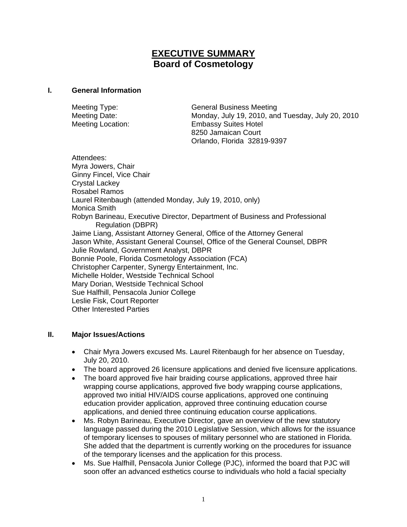# **EXECUTIVE SUMMARY Board of Cosmetology**

#### **I. General Information**

| Meeting Type:            | <b>General Business Meeting</b>                   |
|--------------------------|---------------------------------------------------|
| Meeting Date:            | Monday, July 19, 2010, and Tuesday, July 20, 2010 |
| <b>Meeting Location:</b> | <b>Embassy Suites Hotel</b>                       |
|                          | 8250 Jamaican Court                               |
|                          | Orlando, Florida 32819-9397                       |

Attendees: Myra Jowers, Chair Ginny Fincel, Vice Chair Crystal Lackey Rosabel Ramos Laurel Ritenbaugh (attended Monday, July 19, 2010, only) Monica Smith Robyn Barineau, Executive Director, Department of Business and Professional Regulation (DBPR) Jaime Liang, Assistant Attorney General, Office of the Attorney General Jason White, Assistant General Counsel, Office of the General Counsel, DBPR Julie Rowland, Government Analyst, DBPR Bonnie Poole, Florida Cosmetology Association (FCA) Christopher Carpenter, Synergy Entertainment, Inc. Michelle Holder, Westside Technical School Mary Dorian, Westside Technical School Sue Halfhill, Pensacola Junior College Leslie Fisk, Court Reporter Other Interested Parties

### **II. Major Issues/Actions**

- Chair Myra Jowers excused Ms. Laurel Ritenbaugh for her absence on Tuesday, July 20, 2010.
- The board approved 26 licensure applications and denied five licensure applications.
- The board approved five hair braiding course applications, approved three hair wrapping course applications, approved five body wrapping course applications, approved two initial HIV/AIDS course applications, approved one continuing education provider application, approved three continuing education course applications, and denied three continuing education course applications.
- Ms. Robyn Barineau, Executive Director, gave an overview of the new statutory language passed during the 2010 Legislative Session, which allows for the issuance of temporary licenses to spouses of military personnel who are stationed in Florida. She added that the department is currently working on the procedures for issuance of the temporary licenses and the application for this process.
- Ms. Sue Halfhill, Pensacola Junior College (PJC), informed the board that PJC will soon offer an advanced esthetics course to individuals who hold a facial specialty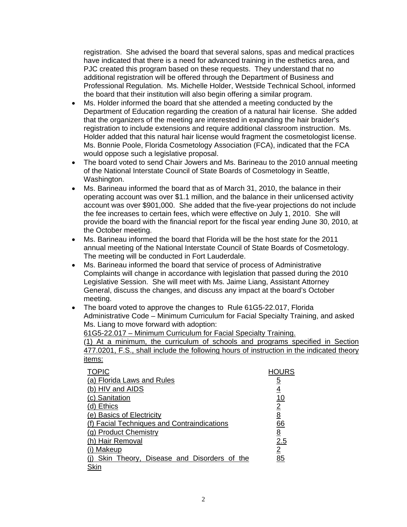registration. She advised the board that several salons, spas and medical practices have indicated that there is a need for advanced training in the esthetics area, and PJC created this program based on these requests. They understand that no additional registration will be offered through the Department of Business and Professional Regulation. Ms. Michelle Holder, Westside Technical School, informed the board that their institution will also begin offering a similar program.

- Ms. Holder informed the board that she attended a meeting conducted by the Department of Education regarding the creation of a natural hair license. She added that the organizers of the meeting are interested in expanding the hair braider's registration to include extensions and require additional classroom instruction. Ms. Holder added that this natural hair license would fragment the cosmetologist license. Ms. Bonnie Poole, Florida Cosmetology Association (FCA), indicated that the FCA would oppose such a legislative proposal.
- The board voted to send Chair Jowers and Ms. Barineau to the 2010 annual meeting of the National Interstate Council of State Boards of Cosmetology in Seattle, Washington.
- Ms. Barineau informed the board that as of March 31, 2010, the balance in their operating account was over \$1.1 million, and the balance in their unlicensed activity account was over \$901,000. She added that the five-year projections do not include the fee increases to certain fees, which were effective on July 1, 2010. She will provide the board with the financial report for the fiscal year ending June 30, 2010, at the October meeting.
- Ms. Barineau informed the board that Florida will be the host state for the 2011 annual meeting of the National Interstate Council of State Boards of Cosmetology. The meeting will be conducted in Fort Lauderdale.
- Ms. Barineau informed the board that service of process of Administrative Complaints will change in accordance with legislation that passed during the 2010 Legislative Session. She will meet with Ms. Jaime Liang, Assistant Attorney General, discuss the changes, and discuss any impact at the board's October meeting.
- The board voted to approve the changes to Rule 61G5-22.017, Florida Administrative Code – Minimum Curriculum for Facial Specialty Training, and asked Ms. Liang to move forward with adoption:

61G5-22.017 – Minimum Curriculum for Facial Specialty Training.

(1) At a minimum, the curriculum of schools and programs specified in Section 477.0201, F.S., shall include the following hours of instruction in the indicated theory items:

| <b>TOPIC</b>                                |                 |
|---------------------------------------------|-----------------|
| (a) Florida Laws and Rules                  | <u>5</u>        |
| (b) HIV and AIDS                            | <u>4</u>        |
| (c) Sanitation                              | <u> 10</u>      |
| (d) Ethics                                  | $\overline{2}$  |
| (e) Basics of Electricity                   | 8               |
| (f) Facial Techniques and Contraindications | <u>66</u>       |
| (g) Product Chemistry                       | $\underline{8}$ |
| (h) Hair Removal                            | 2.5             |
| (i) Makeup                                  | $\overline{2}$  |
| Skin Theory, Disease and Disorders of the   | 85              |
| Skin                                        |                 |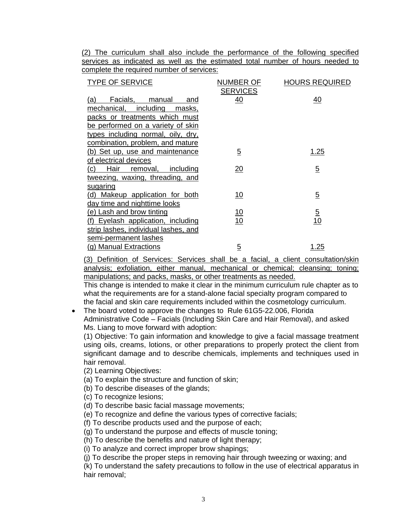(2) The curriculum shall also include the performance of the following specified services as indicated as well as the estimated total number of hours needed to complete the required number of services:

| <b>TYPE OF SERVICE</b>                                              | NUMBER OF<br><b>SERVICES</b> | <b>HOURS REQUIRED</b> |
|---------------------------------------------------------------------|------------------------------|-----------------------|
| Facials,<br>manual<br>(a)<br>and<br>mechanical, including<br>masks, | 40                           | 40                    |
| packs or treatments which must                                      |                              |                       |
| be performed on a variety of skin                                   |                              |                       |
| types including normal, oily, dry,                                  |                              |                       |
| combination, problem, and mature                                    |                              |                       |
| (b) Set up, use and maintenance                                     | $\overline{5}$               | <u>1.25</u>           |
| of electrical devices                                               |                              |                       |
| (c)<br><u>Hair __</u><br>including<br>removal,                      | <u> 20</u>                   | $\overline{5}$        |
| tweezing, waxing, threading, and                                    |                              |                       |
| sugaring                                                            |                              |                       |
| (d)<br>Makeup application for both                                  | 10                           | $\overline{5}$        |
| day time and nighttime looks                                        |                              |                       |
| <u>(e) Lash and brow tinting</u>                                    | <u> 10</u>                   | $\overline{5}$        |
| Eyelash application, including                                      | 10                           | 10                    |
| strip lashes, individual lashes, and                                |                              |                       |
| semi-permanent lashes                                               |                              |                       |
| (g) Manual Extractions                                              | <u>5</u>                     | <u>1.25</u>           |

(3) Definition of Services: Services shall be a facial, a client consultation/skin analysis; exfoliation, either manual, mechanical or chemical; cleansing; toning; manipulations; and packs, masks, or other treatments as needed.

This change is intended to make it clear in the minimum curriculum rule chapter as to what the requirements are for a stand-alone facial specialty program compared to the facial and skin care requirements included within the cosmetology curriculum.

• The board voted to approve the changes to Rule 61G5-22.006, Florida Administrative Code – Facials (Including Skin Care and Hair Removal), and asked Ms. Liang to move forward with adoption:

(1) Objective: To gain information and knowledge to give a facial massage treatment using oils, creams, lotions, or other preparations to properly protect the client from significant damage and to describe chemicals, implements and techniques used in hair removal.

(2) Learning Objectives:

(a) To explain the structure and function of skin;

(b) To describe diseases of the glands;

(c) To recognize lesions;

(d) To describe basic facial massage movements;

(e) To recognize and define the various types of corrective facials;

(f) To describe products used and the purpose of each;

(g) To understand the purpose and effects of muscle toning;

(h) To describe the benefits and nature of light therapy;

(i) To analyze and correct improper brow shapings;

(j) To describe the proper steps in removing hair through tweezing or waxing; and

(k) To understand the safety precautions to follow in the use of electrical apparatus in hair removal;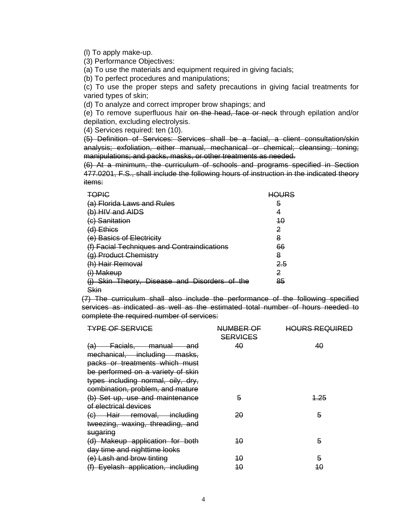(l) To apply make-up.

(3) Performance Objectives:

(a) To use the materials and equipment required in giving facials;

(b) To perfect procedures and manipulations;

(c) To use the proper steps and safety precautions in giving facial treatments for varied types of skin;

(d) To analyze and correct improper brow shapings; and

(e) To remove superfluous hair on the head, face or neck through epilation and/or depilation, excluding electrolysis.

(4) Services required: ten (10).

(5) Definition of Services: Services shall be a facial, a client consultation/skin analysis; exfoliation, either manual, mechanical or chemical; cleansing; toning; manipulations; and packs, masks, or other treatments as needed.

(6) At a minimum, the curriculum of schools and programs specified in Section 477.0201, F.S., shall include the following hours of instruction in the indicated theory items:

| TOPIC                                         | <b>HOURS</b> |
|-----------------------------------------------|--------------|
| (a) Florida Laws and Rules                    | 5            |
| (b) HIV and AIDS                              | 4            |
| (c) Sanitation                                | 40           |
| $(d)$ Ethics                                  | 2            |
| (e) Basics of Electricity                     | 8            |
| (f) Facial Techniques and Contraindications   | 66           |
| (g) Product Chemistry                         | 8            |
| (h) Hair Removal                              | 2.5          |
| (i) Makeup                                    | 2            |
| (j) Skin Theory, Disease and Disorders of the | 85           |
| Skin                                          |              |

(7) The curriculum shall also include the performance of the following specified services as indicated as well as the estimated total number of hours needed to complete the required number of services:

| <b>TYPE OF SERVICE</b>                                                                                                                                                                                   | NUMBER OF<br><b>SERVICES</b> | <b>HOURS REQUIRED</b> |
|----------------------------------------------------------------------------------------------------------------------------------------------------------------------------------------------------------|------------------------------|-----------------------|
| (a) Facials, manual and<br>mechanical, including masks,<br>packs or treatments which must<br>be performed on a variety of skin<br>types including normal, oily, dry,<br>combination, problem, and mature | 40                           | 40                    |
| (b) Set up, use and maintenance<br>of electrical devices                                                                                                                                                 | 5                            | <u> 1.25</u>          |
| (c) Hair removal, including<br>tweezing, waxing, threading, and<br>sugaring                                                                                                                              | 20                           | 5                     |
| (d) Makeup application for both<br>day time and nighttime looks                                                                                                                                          | 40                           | 5                     |
| (e) Lash and brow tinting<br>(f) Eyelash application, including                                                                                                                                          | 40<br>40                     | 5<br>40               |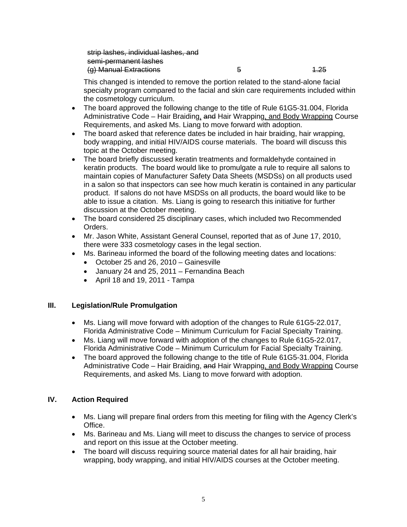strip lashes, individual lashes, and semi-permanent lashes (g) Manual Extractions 6 1.25

This changed is intended to remove the portion related to the stand-alone facial specialty program compared to the facial and skin care requirements included within the cosmetology curriculum.

- The board approved the following change to the title of Rule 61G5-31.004, Florida Administrative Code – Hair Braiding, and Hair Wrapping, and Body Wrapping Course Requirements, and asked Ms. Liang to move forward with adoption.
- The board asked that reference dates be included in hair braiding, hair wrapping, body wrapping, and initial HIV/AIDS course materials. The board will discuss this topic at the October meeting.
- The board briefly discussed keratin treatments and formaldehyde contained in keratin products. The board would like to promulgate a rule to require all salons to maintain copies of Manufacturer Safety Data Sheets (MSDSs) on all products used in a salon so that inspectors can see how much keratin is contained in any particular product. If salons do not have MSDSs on all products, the board would like to be able to issue a citation. Ms. Liang is going to research this initiative for further discussion at the October meeting.
- The board considered 25 disciplinary cases, which included two Recommended Orders.
- Mr. Jason White, Assistant General Counsel, reported that as of June 17, 2010, there were 333 cosmetology cases in the legal section.
- Ms. Barineau informed the board of the following meeting dates and locations:
	- October 25 and 26, 2010 Gainesville
	- January 24 and 25, 2011 Fernandina Beach
	- April 18 and 19, 2011 Tampa

## **III. Legislation/Rule Promulgation**

- Ms. Liang will move forward with adoption of the changes to Rule 61G5-22.017, Florida Administrative Code – Minimum Curriculum for Facial Specialty Training.
- Ms. Liang will move forward with adoption of the changes to Rule 61G5-22.017, Florida Administrative Code – Minimum Curriculum for Facial Specialty Training.
- The board approved the following change to the title of Rule 61G5-31.004, Florida Administrative Code – Hair Braiding, and Hair Wrapping, and Body Wrapping Course Requirements, and asked Ms. Liang to move forward with adoption.

## **IV. Action Required**

- Ms. Liang will prepare final orders from this meeting for filing with the Agency Clerk's Office.
- Ms. Barineau and Ms. Liang will meet to discuss the changes to service of process and report on this issue at the October meeting.
- The board will discuss requiring source material dates for all hair braiding, hair wrapping, body wrapping, and initial HIV/AIDS courses at the October meeting.